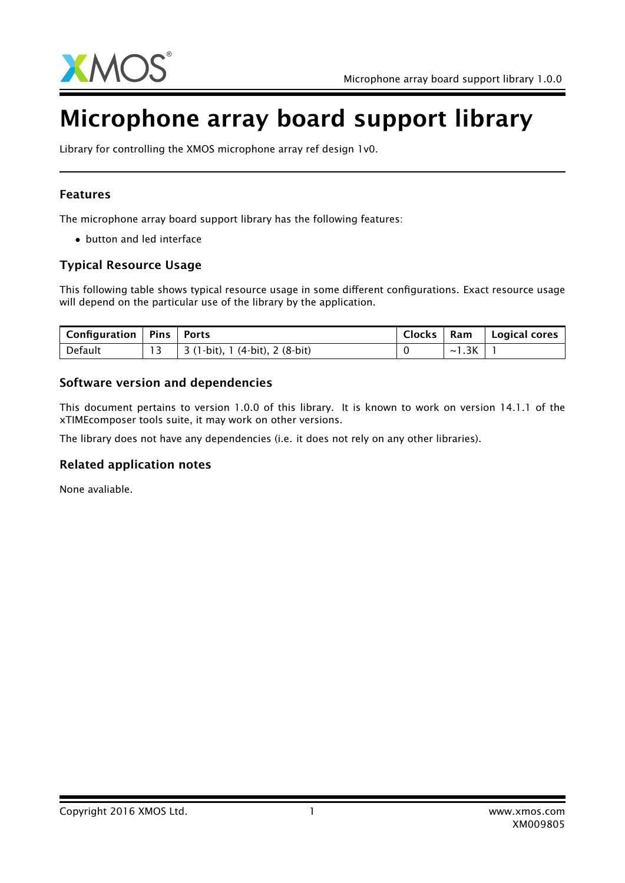

# Microphone array board support library

Library for controlling the XMOS microphone array ref design 1v0.

## Features

The microphone array board support library has the following features:

• button and led interface

## Typical Resource Usage

This following table shows typical resource usage in some different configurations. Exact resource usage will depend on the particular use of the library by the application.

| Configuration   Pins   Ports |                                         | Clocks   Ram |             | Logical cores $ $ |
|------------------------------|-----------------------------------------|--------------|-------------|-------------------|
| Default                      | $\perp$ 3 (1-bit), 1 (4-bit), 2 (8-bit) |              | $\sim$ 1.3K |                   |

#### Software version and dependencies

This document pertains to version 1.0.0 of this library. It is known to work on version 14.1.1 of the xTIMEcomposer tools suite, it may work on other versions.

The library does not have any dependencies (i.e. it does not rely on any other libraries).

#### Related application notes

None avaliable.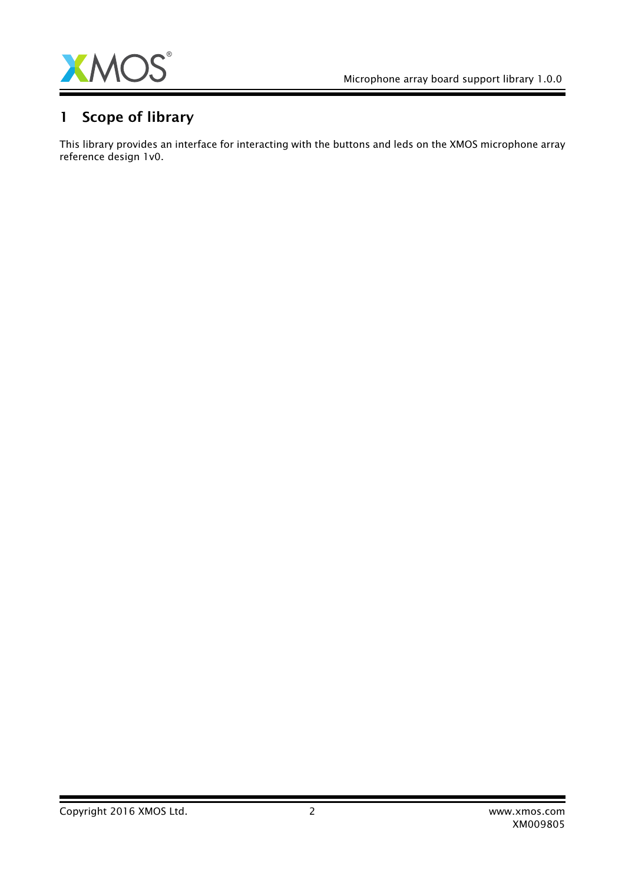

# 1 Scope of library

This library provides an interface for interacting with the buttons and leds on the XMOS microphone array reference design 1v0.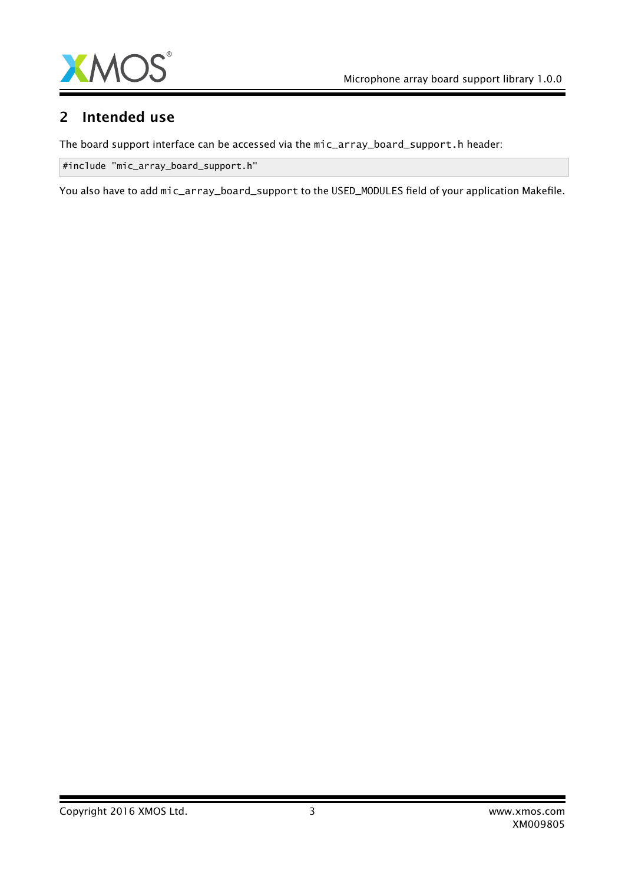

## 2 Intended use

The board support interface can be accessed via the mic\_array\_board\_support.h header:

#include "mic\_array\_board\_support.h"

You also have to add mic\_array\_board\_support to the USED\_MODULES field of your application Makefile.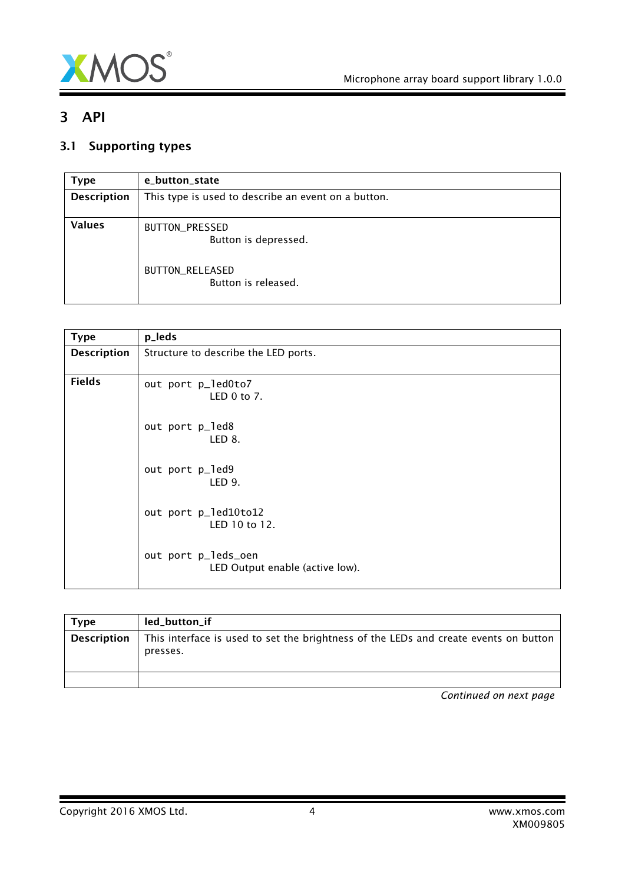

# 3 API

## 3.1 Supporting types

<span id="page-3-0"></span>

| <b>Type</b>        | e_button_state                                      |  |  |  |
|--------------------|-----------------------------------------------------|--|--|--|
| <b>Description</b> | This type is used to describe an event on a button. |  |  |  |
| <b>Values</b>      | BUTTON_PRESSED<br>Button is depressed.              |  |  |  |
|                    | BUTTON_RELEASED<br>Button is released.              |  |  |  |

<span id="page-3-2"></span>

| <b>Type</b>        | p_leds                                                 |  |  |
|--------------------|--------------------------------------------------------|--|--|
| <b>Description</b> | Structure to describe the LED ports.                   |  |  |
| <b>Fields</b>      | out port p_led0to7<br>LED $0$ to $7$ .                 |  |  |
|                    | out port p_led8<br>LED 8.                              |  |  |
|                    | out port p_led9<br>LED 9.                              |  |  |
|                    | out port p_led10to12<br>LED 10 to 12.                  |  |  |
|                    | out port p_leds_oen<br>LED Output enable (active low). |  |  |

<span id="page-3-1"></span>

| <b>Type</b>        | led_button_if                                                                                    |
|--------------------|--------------------------------------------------------------------------------------------------|
| <b>Description</b> | This interface is used to set the brightness of the LEDs and create events on button<br>presses. |
|                    |                                                                                                  |

*Continued on next page*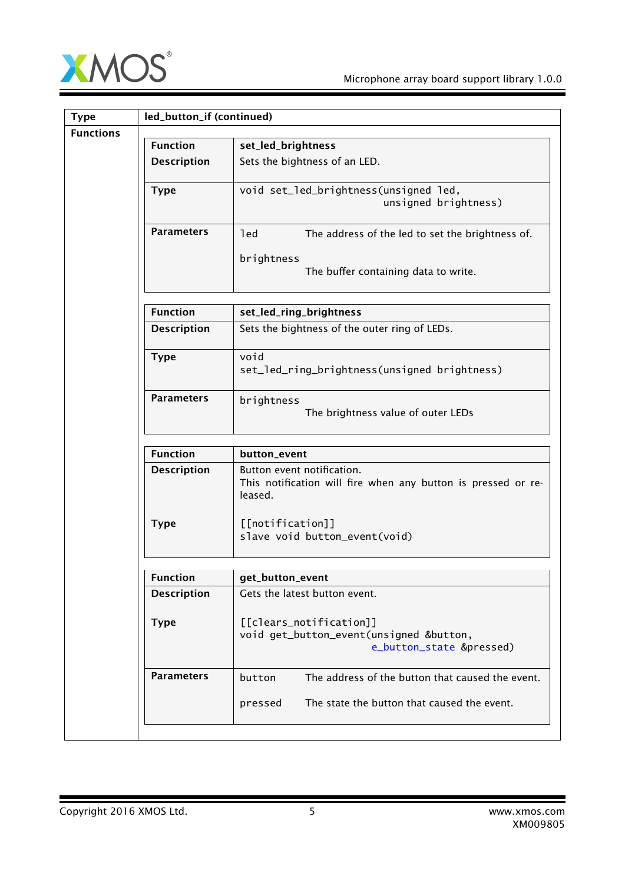

| <b>Type</b>      | led_button_if (continued) |                                                                                                                      |  |
|------------------|---------------------------|----------------------------------------------------------------------------------------------------------------------|--|
| <b>Functions</b> |                           |                                                                                                                      |  |
|                  | <b>Function</b>           | set_led_brightness                                                                                                   |  |
|                  | <b>Description</b>        | Sets the bightness of an LED.                                                                                        |  |
|                  | <b>Type</b>               | void set_led_brightness(unsigned led,<br>unsigned brightness)                                                        |  |
|                  | <b>Parameters</b>         | led<br>The address of the led to set the brightness of.<br>brightness<br>The buffer containing data to write.        |  |
|                  | <b>Function</b>           | set_led_ring_brightness                                                                                              |  |
|                  | <b>Description</b>        | Sets the bightness of the outer ring of LEDs.                                                                        |  |
|                  | <b>Type</b>               | void<br>set_led_ring_brightness(unsigned brightness)                                                                 |  |
|                  | <b>Parameters</b>         | brightness<br>The brightness value of outer LEDs                                                                     |  |
|                  | <b>Function</b>           | button_event                                                                                                         |  |
|                  | <b>Description</b>        | Button event notification.<br>This notification will fire when any button is pressed or re-<br>leased.               |  |
|                  | <b>Type</b>               | [[notification]]<br>slave void button_event(void)                                                                    |  |
|                  | <b>Function</b>           | get_button_event                                                                                                     |  |
|                  | <b>Description</b>        | Gets the latest button event.                                                                                        |  |
|                  | <b>Type</b>               | [[clears_notification]]<br>void get_button_event(unsigned &button,<br>e_button_state &pressed)                       |  |
|                  | <b>Parameters</b>         | The address of the button that caused the event.<br>button<br>The state the button that caused the event.<br>pressed |  |
|                  |                           |                                                                                                                      |  |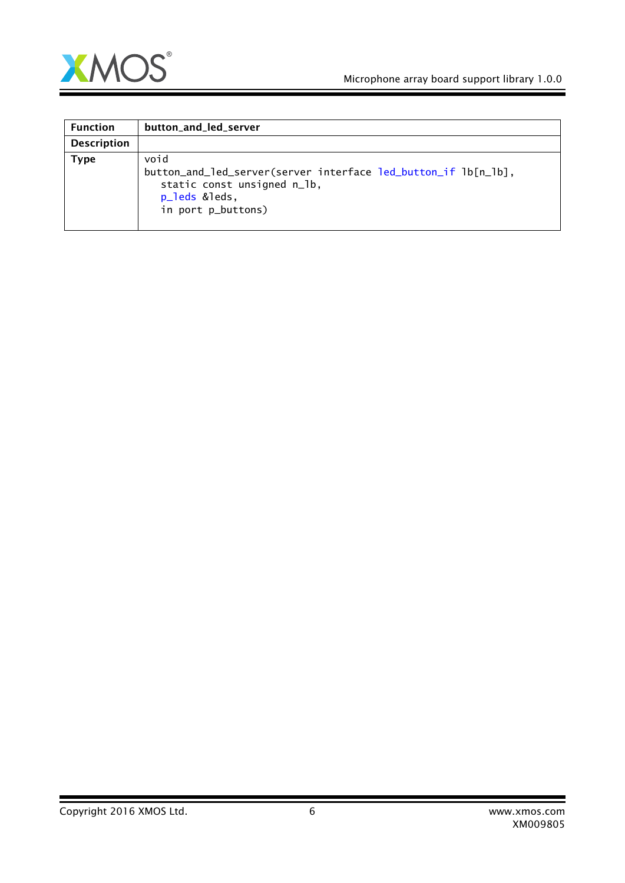

| <b>Function</b>    | button_and_led_server                                                                                                                                   |  |  |
|--------------------|---------------------------------------------------------------------------------------------------------------------------------------------------------|--|--|
| <b>Description</b> |                                                                                                                                                         |  |  |
| Type               | void<br>button_and_led_server(server interface led_button_if lb[n_lb],<br>static const unsigned n_lb,<br>p <sup>leds</sup> &leds,<br>in port p_buttons) |  |  |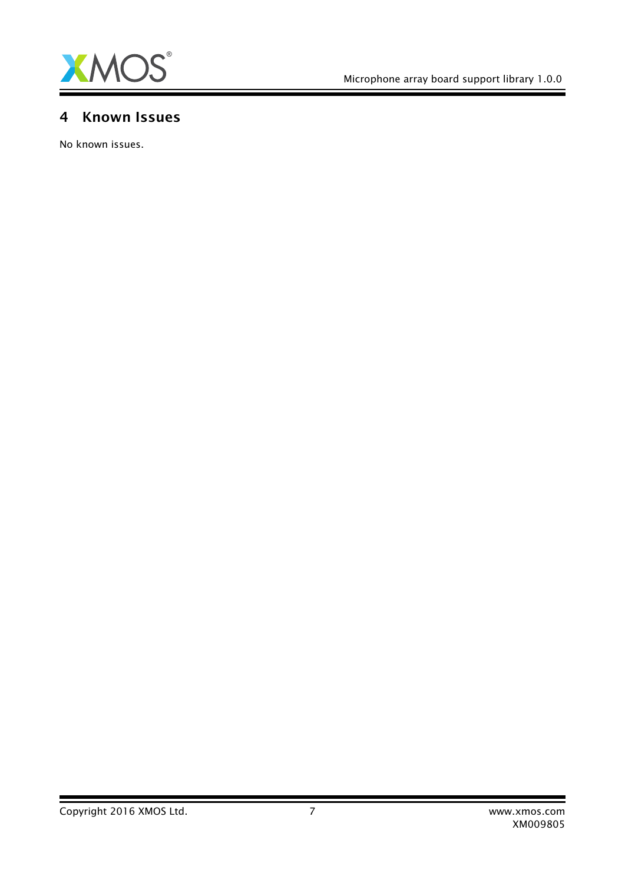

Ξ

# 4 Known Issues

No known issues.